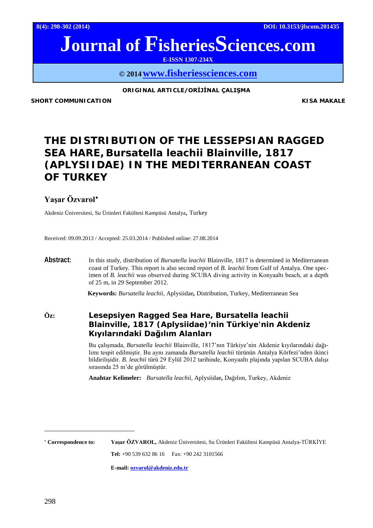**8(4): 298-302 (2014) DOI: 10.3153/jfscom.201435**

# **Journal of FisheriesSciences.com**

**E-ISSN 1307-234X**

**© 201[4www.fisheriessciences.com](http://www.fisheriessciences.com/)**

#### **ORIGINAL ARTICLE/ORİJİNAL ÇALIŞMA**

**SHORT COMMUNICATION COMMUNICATION** 

## **THE DISTRIBUTION OF THE LESSEPSIAN RAGGED SEA HARE,** *Bursatella leachii* **Blainville, 1817 (APLYSIIDAE) IN THE MEDITERRANEAN COAST OF TURKEY**

### **Yaşar Özvarol**[∗](#page-0-0)

Akdeniz Üniversitesi, Su Ürünleri Fakültesi Kampüsü Antalya, Turkey

Received: 09.09.2013 / Accepted: 25.03.2014 / Published online: 27.08.2014

**Abstract:** In this study, distribution of *Bursatella leachii* Blainville, 1817 is determined in Mediterranean coast of Turkey. This report is also second report of *B. leachii* from Gulf of Antalya. One specimen of *B. leachii* was observed during SCUBA diving activity in Konyaaltı beach, at a depth of 25 m, in 29 September 2012.

**Keywords:** *Bursatella leachii,* Aplysiidae*,* Distribution, Turkey, Mediterranean Sea

**Öz: Lesepsiyen Ragged Sea Hare,** *Bursatella leachii* **Blainville, 1817 (Aplysiidae)'nin Türkiye'nin Akdeniz Kıyılarındaki Dağılım Alanları**

> Bu çalışmada, *Bursatella leachii* Blainville, 1817'nın Türkiye'nin Akdeniz kıyılarındaki dağılımı tespit edilmiştir. Bu aynı zamanda *Bursatella leachii* türünün Antalya Körfezi'nden ikinci bildirilişidir. *B. leachii* türü 29 Eylül 2012 tarihinde, Konyaaltı plajında yapılan SCUBA dalışı sırasında 25 m'de görülmüştür.

**Anahtar Kelimeler:** *Bursatella leachii,* Aplysiidae*,* Dağılım, Turkey, Akdeniz

<span id="page-0-0"></span><sup>∗</sup> **Correspondence to: Yaşar ÖZVAROL,** Akdeniz Üniversitesi, Su Ürünleri Fakültesi Kampüsü Antalya-TÜRKİYE

**Tel:** +90 539 632 86 16 Fax: +90 242 3101566

**E-mail: [ozvarol@akdeniz.edu.tr](mailto:ozvarol@akdeniz.edu.tr)**

 $\overline{a}$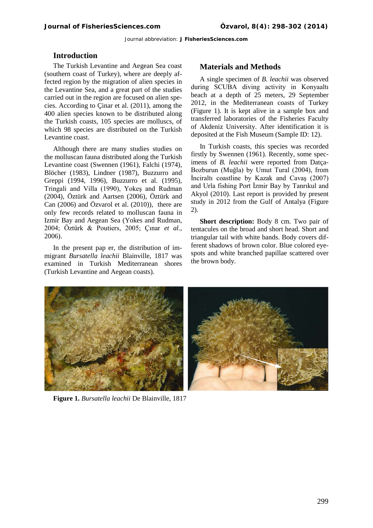#### **Introduction**

The Turkish Levantine and Aegean Sea coast (southern coast of Turkey), where are deeply affected region by the migration of alien species in the Levantine Sea, and a great part of the studies carried out in the region are focused on alien species. According to Çinar et al. (2011), among the 400 alien species known to be distributed along the Turkish coasts, 105 species are molluscs, of which 98 species are distributed on the Turkish Levantine coast.

Although there are many studies studies on the molluscan fauna distributed along the Turkish Levantine coast (Swennen (1961), Falchi (1974), Blöcher (1983), Lindner (1987), Buzzurro and Greppi (1994, 1996), Buzzurro et al. (1995), Tringali and Villa (1990), Yokeş and Rudman (2004), Öztürk and Aartsen (2006), Öztürk and Can (2006) and Özvarol et al. (2010)), there are only few records related to molluscan fauna in Izmir Bay and Aegean Sea (Yokes and Rudman, 2004; Öztürk & Poutiers, 2005; Çınar *et al.,*  2006).

In the present pap er, the distribution of immigrant *Bursatella leachii* Blainville, 1817 was examined in Turkish Mediterranean shores (Turkish Levantine and Aegean coasts).

#### **Materials and Methods**

A single specimen of *B. leachii* was observed during SCUBA diving activity in Konyaaltı beach at a depth of 25 meters, 29 September 2012, in the Mediterranean coasts of Turkey (Figure 1). It is kept alive in a sample box and transferred laboratories of the Fisheries Faculty of Akdeniz University. After identification it is deposited at the Fish Museum (Sample ID: 12).

In Turkish coasts, this species was recorded firstly by Swennen (1961). Recently, some specimens of *B. leachii* were reported from Datça-Bozburun (Muğla) by Umut Tural (2004), from İnciraltı coastline by Kazak and Cavaş (2007) and Urla fishing Port İzmir Bay by Tanrıkul and Akyol (2010). Last report is provided by present study in 2012 from the Gulf of Antalya (Figure 2).

**Short description:** Body 8 cm. Two pair of tentacules on the broad and short head. Short and triangular tail with white bands. Body covers different shadows of brown color. Blue colored eyespots and white branched papillae scattered over the brown body.



**Figure 1.** *Bursatella leachii* De Blainville, 1817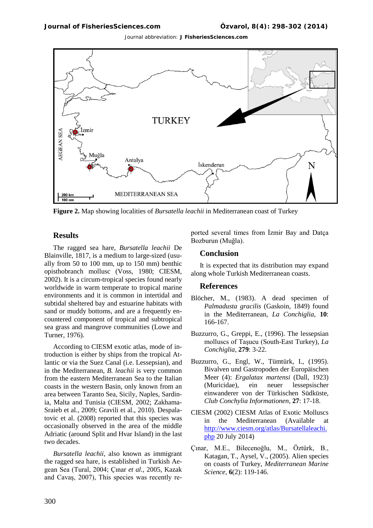

**Figure 2.** Map showing localities of *Bursatella leachii* in Mediterranean coast of Turkey

#### **Results**

The ragged sea hare, *Bursatella leachii* De Blainville, 1817, is a medium to large-sized (usually from 50 to 100 mm, up to 150 mm) benthic opisthobranch mollusc (Voss, 1980; CIESM, 2002). It is a circum-tropical species found nearly worldwide in warm temperate to tropical marine environments and it is common in intertidal and subtidal sheltered bay and estuarine habitats with sand or muddy bottoms, and are a frequently encountered component of tropical and subtropical sea grass and mangrove communities (Lowe and Turner, 1976).

According to CIESM exotic atlas, mode of introduction is either by ships from the tropical Atlantic or via the Suez Canal (i.e. Lessepsian), and in the Mediterranean, *B. leachii* is very common from the eastern Mediterranean Sea to the Italian coasts in the western Basin, only known from an area between Taranto Sea, Sicily, Naples, Sardinia, Malta and Tunisia (CIESM, 2002; Zakhama-Sraieb et al., 2009; Gravili et al., 2010). Despalatovic et al. (2008) reported that this species was occasionally observed in the area of the middle Adriatic (around Split and Hvar Island) in the last two decades.

*Bursatella leachii,* also known as immigrant the ragged sea hare, is established in Turkish Aegean Sea (Tural, 2004; Çınar *et al.,* 2005, Kazak and Cavaş, 2007), This species was recently reported several times from İzmir Bay and Datça Bozburun (Muğla).

#### **Conclusion**

It is expected that its distribution may expand along whole Turkish Mediterranean coasts.

#### **References**

- Blöcher, M., (1983). A dead specimen of *Palmadusta gracilis* (Gaskoin, 1849) found in the Mediterranean, *La Conchiglia*, **10**: 166-167.
- Buzzurro, G., Greppi, E., (1996). The lessepsian molluscs of Taşucu (South-East Turkey), *La Conchiglia*, **279**: 3-22.
- Buzzurro, G., Engl, W., Tümtürk, I., (1995). Bivalven und Gastropoden der Europäischen Meer (4): *Ergalatax martensi* (Dall, 1923) (Muricidae), ein neuer lessepsischer einwanderer von der Türkischen Südküste, *Club Conchylia Informationen*, **27**: 17-18.
- CIESM (2002) CIESM Atlas of Exotic Molluscs in the Mediterranean (Available at [http://www.ciesm.org/atlas/Bursatellaleachi.](http://www.ciesm.org/atlas/Bursatellaleachi.php) [php](http://www.ciesm.org/atlas/Bursatellaleachi.php) 20 July 2014)
- Çınar, M.E., Bilecenoğlu, M., Öztürk, B., Katagan, T., Aysel, V., (2005). Alien species on coasts of Turkey, *Mediterranean Marine Science,* **6**(2): 119-146.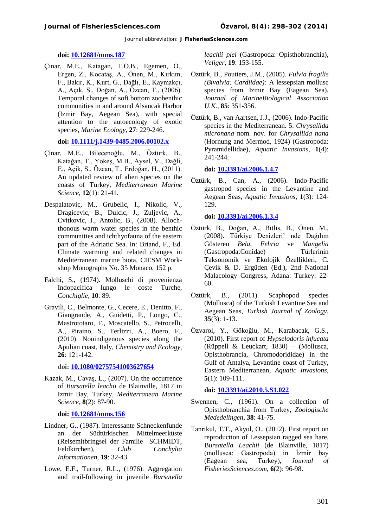#### **[doi: 10.12681/mms.187](http://dx.doi.org/10.12681/mms.187)**

Çınar, M.E., Katagan, T.Ö.B., Egemen, Ö., Ergen, Z., Kocataş, A., Önen, M., Kırkım, F., Bakır, K., Kurt, G., Dağlı, E., Kaymakçı, A., Açık, S., Doğan, A., Özcan, T., (2006). Temporal changes of soft bottom zoobenthic communities in and around Alsancak Harbor (Izmir Bay, Aegean Sea), with special attention to the autoecology of exotic species, *Marine Ecology*, **27**: 229-246.

#### **[doi: 10.1111/j.1439-0485.2006.00102.x](http://dx.doi.org/10.1111/j.1439-0485.2006.00102.x)**

- Çinar, M.E., Bilecenoğlu, M., Öztürk, B., Katağan, T., Yokeş, M.B., Aysel, V., Dağli, E., Açik, S., Özcan, T., Erdoğan, H., (2011). An updated review of alien species on the coasts of Turkey, *Mediterranean Marine Science*, **12**(1): 21-41.
- Despalatovic, M., Grubelic, I., Nikolic, V., Dragicevic, B., Dulcic, J., Zuljevic, A., Cvitkovic, I., Antolic, B., (2008). Allochthonous warm water species in the benthic communities and ichthyofauna of the eastern part of the Adriatic Sea. In: Briand, F., Ed. Climate warming and related changes in Mediterranean marine biota, CIESM Workshop Monographs No. 35 Monaco, 152 p.
- Falchi, S., (1974). Molluschi di provenienza Indopacifica lungo le coste Turche, *Conchiglie*, **10**: 89.
- Gravili, C., Belmonte, G., Cecere, E., Denitto, F., Giangrande, A., Guidetti, P., Longo, C., Mastrototaro, F., Moscatello, S., Petrocelli, A., Piraino, S., Terlizzi, A., Boero, F., (2010). Nonindigenous species along the Apulian coast, Italy, *Chemistry and Ecology*, **26**: 121-142.

**doi: [10.1080/02757541003627654](http://dx.doi.org/10.1080/02757541003627654)**

Kazak, M., Cavaş, L., (2007). On the occurrence of *Bursatella leachii* de Blainville, 1817 in Izmir Bay, Turkey, *Mediterranean Marine Science*, **8**(2): 87-90.

**doi: [10.12681/mms.156](http://dx.doi.org/10.12681/mms.156)**

- Lindner, G., (1987). Interessante Schneckenfunde an der Südtürkischen Mittelmeerküste (Reisemitbringsel der Familie SCHMIDT, Feldkirchen), *Club Conchylia Informationen*, **19**: 32-43.
- Lowe, E.F., Turner, R.L., (1976). Aggregation and trail-following in juvenile *Bursatella*

*leachii plei* (Gastropoda: Opisthobranchia), *Veliger*, **19**: 153-155.

- Öztürk, B., Poutiers, J.M., (2005). *Fulvia fragilis (Bivalvia: Cardiidae):* A lessepsian mollusc species from Izmir Bay (Eagean Sea), *Journal of MarineBiological Association U.K.,* **85**: 351-356.
- Öztürk, B., van Aartsen, J.J., (2006). Indo-Pacific species in the Mediterranean. 5. *Chrysallida micronana* nom. nov. for *Chrysallida nana*  (Hornung and Mermod, 1924) (Gastropoda: Pyramidellidae), *Aquatic Invasions,* **1**(4): 241-244.

**doi: [10.3391/ai.2006.1.4.7](http://dx.doi.org/10.3391/ai.2006.1.4.7)** 

Öztürk, B., Can, A., (2006). Indo-Pacific gastropod species in the Levantine and Aegean Seas, *Aquatic Invasions,* **1**(3): 124- 129.

**doi: [10.3391/ai.2006.1.3.4](http://dx.doi.org/10.3391/ai.2006.1.3.4)** 

- Öztürk, B., Doğan, A., Bitlis, B., Önen, M., (2008). Türkiye Denizleri' nde Dağılım Gösteren *Bela*, *Fehria* ve *Mangelia*  (Gastropoda:Conidae) Türlerinin Taksonomik ve Ekolojik Özellikleri, C. Çevik & D. Ergüden (Ed.), 2nd National Malacology Congress, Adana: Turkey: 22- 60.
- Öztürk, B., (2011). Scaphopod species (Mollusca) of the Turkish Levantine Sea and Aegean Seas, *Turkish Journal of Zoology*, **35**(3): 1-13.
- Özvarol, Y., Gökoğlu, M., Karabacak, G.S., (2010). First report of *Hypselodoris infucata* (Rüppell & Leuckart, 1830) – (Mollusca, Opisthobrancia, Chromodorididae) in the Gulf of Antalya, Levantine coast of Turkey, Eastern Mediterranean, *Aquatic Invasions,* **5**(1): 109-111.

**[doi: 10.3391/ai.2010.5.S1.022](http://dx.doi.org/10.3391/ai.2010.5.S1.022)**

- Swennen, C., (1961). On a collection of Opisthobranchia from Turkey, *Zoologische Mededelingen,* **38**: 41-75.
- Tanrıkul, T.T., Akyol, O., (2012). First report on reproduction of Lessepsian ragged sea hare, B*ursatella Leachii* (de Blainville, 1817) (mollusca: Gastropoda) in İzmir bay (Eagean sea, Turkey), *Journal of FisheriesSciences.com*, **6**(2): 96-98.